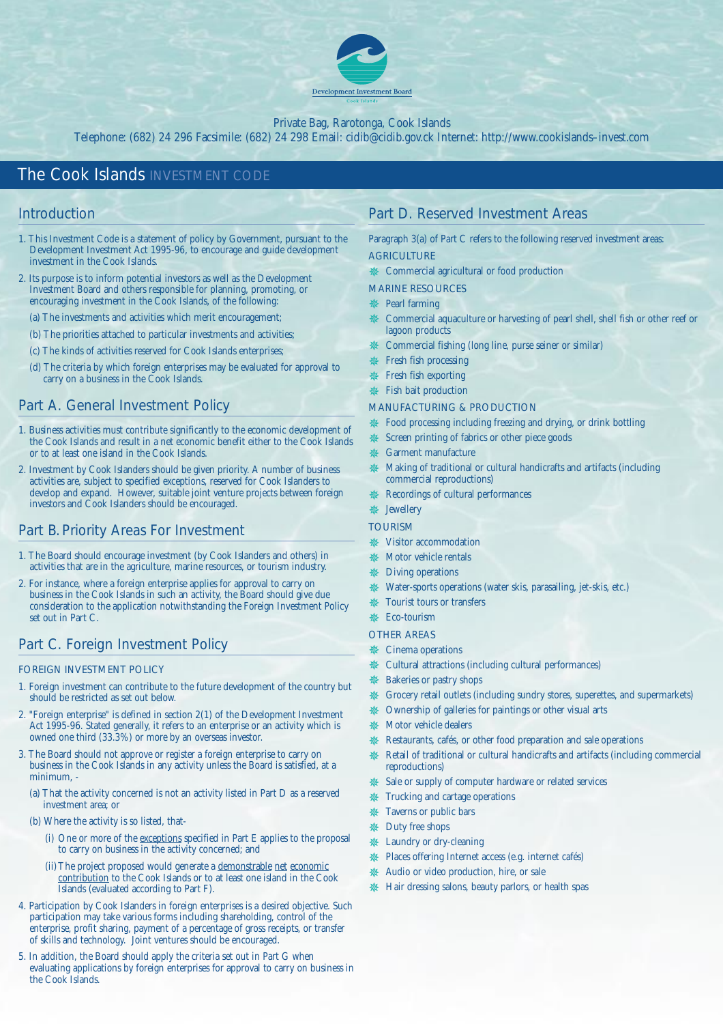

### Private Bag, Rarotonga, Cook Islands

Telephone: (682) 24 296 Facsimile: (682) 24 298 Email: cidib@cidib.gov.ck Internet: http://www.cookislands–invest.com

# *The Cook Islands INVESTMENT CODE*

# Introduction

- 1. This Investment Code is a statement of policy by Government, pursuant to the Development Investment Act 1995-96, to encourage and guide development investment in the Cook Islands.
- 2. Its purpose is to inform potential investors as well as the Development Investment Board and others responsible for planning, promoting, or encouraging investment in the Cook Islands, of the following:
	- (a) The investments and activities which merit encouragement;
	- (b) The priorities attached to particular investments and activities;
	- (c) The kinds of activities reserved for Cook Islands enterprises;
	- (d) The criteria by which foreign enterprises may be evaluated for approval to carry on a business in the Cook Islands.

## Part A. General Investment Policy

- 1. Business activities must contribute significantly to the economic development of the Cook Islands and result in a net economic benefit either to the Cook Islands or to at least one island in the Cook Islands.
- 2. Investment by Cook Islanders should be given priority. A number of business activities are, subject to specified exceptions, reserved for Cook Islanders to develop and expand. However, suitable joint venture projects between foreign investors and Cook Islanders should be encouraged.

## Part B. Priority Areas For Investment

- 1. The Board should encourage investment (by Cook Islanders and others) in activities that are in the agriculture, marine resources, or tourism industry.
- 2. For instance, where a foreign enterprise applies for approval to carry on business in the Cook Islands in such an activity, the Board should give due consideration to the application notwithstanding the Foreign Investment Policy set out in Part C.

## Part C. Foreign Investment Policy

#### FOREIGN INVESTMENT POLICY

- 1. Foreign investment can contribute to the future development of the country but should be restricted as set out below.
- 2. "Foreign enterprise" is defined in section 2(1) of the Development Investment Act 1995-96. Stated generally, it refers to an enterprise or an activity which is owned one third (33.3%) or more by an overseas investor.
- 3. The Board should not approve or register a foreign enterprise to carry on business in the Cook Islands in any activity unless the Board is satisfied, at a minimum, -
	- (a) That the activity concerned is not an activity listed in Part D as a reserved investment area; or
	- (b) Where the activity is so listed, that-
		- (i) One or more of the exceptions specified in Part E applies to the proposal to carry on business in the activity concerned; and
		- (ii) The project proposed would generate a demonstrable net economic contribution to the Cook Islands or to at least one island in the Cook Islands (evaluated according to Part F).
- 4. Participation by Cook Islanders in foreign enterprises is a desired objective. Such participation may take various forms including shareholding, control of the enterprise, profit sharing, payment of a percentage of gross receipts, or transfer of skills and technology. Joint ventures should be encouraged.
- 5. In addition, the Board should apply the criteria set out in Part G when evaluating applications by foreign enterprises for approval to carry on business in the Cook Islands.

# Part D. Reserved Investment Areas

Paragraph 3(a) of Part C refers to the following reserved investment areas: **AGRICULTURE** 

✵ Commercial agricultural or food production

MARINE RESOURCES

- ✵ Pearl farming
- Commercial aquaculture or harvesting of pearl shell, shell fish or other reef or lagoon products
- ✵ Commercial fishing (long line, purse seiner or similar)
- Fresh fish processing
- ✵ Fresh fish exporting
- **参** Fish bait production

### MANUFACTURING & PRODUCTION

- ia Food processing including freezing and drying, or drink bottling
- Screen printing of fabrics or other piece goods
- ✵ Garment manufacture
- Making of traditional or cultural handicrafts and artifacts (including commercial reproductions)
- Recordings of cultural performances
- **&** Jewellery
- **TOURISM**
- ✵ Visitor accommodation
- Motor vehicle rentals
- ✵ Diving operations
- ✵ Water-sports operations (water skis, parasailing, jet-skis, etc.)
- ✵ Tourist tours or transfers

# ✵ Eco-tourism

- OTHER AREAS
- ✵ Cinema operations
- Cultural attractions (including cultural performances)
- Bakeries or pastry shops
- Grocery retail outlets (including sundry stores, superettes, and supermarkets)
- ✵ Ownership of galleries for paintings or other visual arts
- ✵ Motor vehicle dealers
- Restaurants, cafés, or other food preparation and sale operations
- Retail of traditional or cultural handicrafts and artifacts (including commercial reproductions)
- ✵ Sale or supply of computer hardware or related services
- Trucking and cartage operations
- Taverns or public bars
- ✵ Duty free shops
- ✵ Laundry or dry-cleaning
- ✵ Places offering Internet access (e.g. internet cafés)
- ✵ Audio or video production, hire, or sale
- ✵ Hair dressing salons, beauty parlors, or health spas